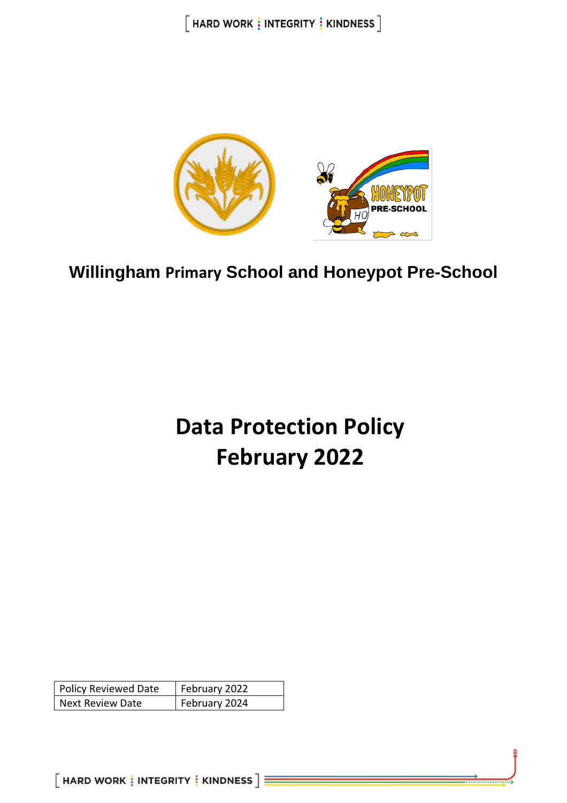$[$  HARD WORK  $\frac{1}{3}$  INTEGRITY  $\frac{1}{3}$  KINDNESS  $]$ 



**Willingham Primary School and Honeypot Pre-School**

# **Data Protection Policy February 2022**

| <b>Policy Reviewed Date</b> | February 2022 |
|-----------------------------|---------------|
| <b>Next Review Date</b>     | February 2024 |

 $[$  HARD WORK  $\frac{1}{3}$  INTEGRITY  $\frac{1}{3}$  KINDNESS  $]\equiv$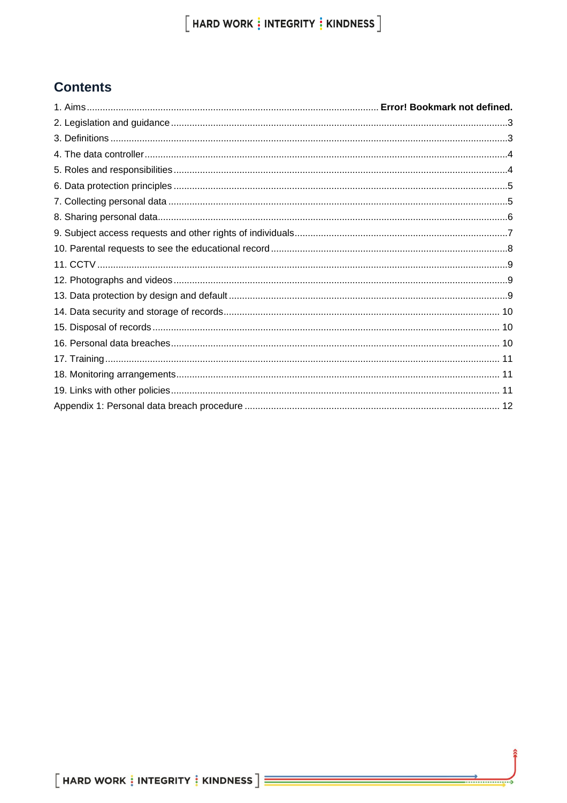# **Contents**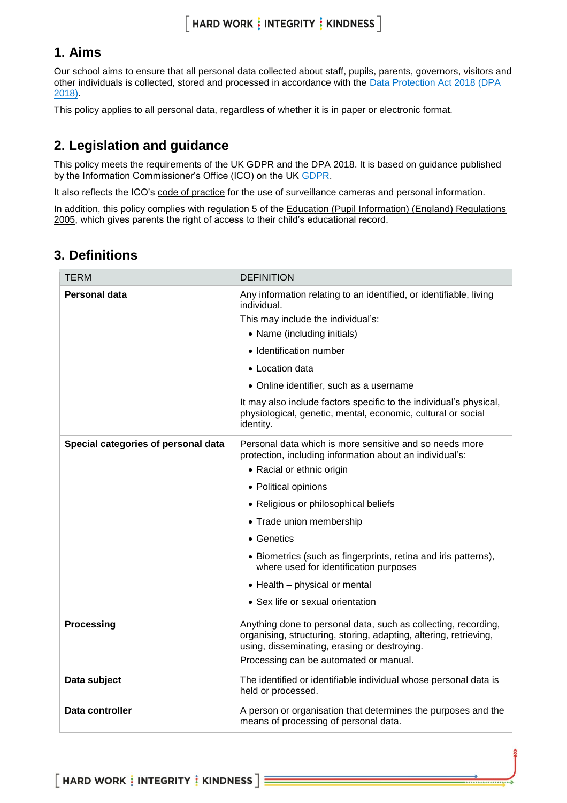# $[$  HARD WORK  $\frac{1}{3}$  INTEGRITY  $\frac{1}{3}$  KINDNESS  $]$

### **1. Aims**

Our school aims to ensure that all personal data collected about staff, pupils, parents, governors, visitors and other individuals is collected, stored and processed in accordance with the [Data Protection Act 2018 \(DPA](http://www.legislation.gov.uk/ukpga/2018/12/contents/enacted)  [2018\).](http://www.legislation.gov.uk/ukpga/2018/12/contents/enacted) 

This policy applies to all personal data, regardless of whether it is in paper or electronic format.

### <span id="page-2-0"></span>**2. Legislation and guidance**

This policy meets the requirements of the UK GDPR and the DPA 2018. It is based on guidance published by the Information Commissioner's Office (ICO) on the UK [GDPR.](https://ico.org.uk/for-organisations/guide-to-the-general-data-protection-regulation-gdpr/)

It also reflects the ICO's [code of practice](https://ico.org.uk/media/for-organisations/documents/1542/cctv-code-of-practice.pdf) for the use of surveillance cameras and personal information.

In addition, this policy complies with regulation 5 of the Education (Pupil Information) (England) Regulations [2005,](http://www.legislation.gov.uk/uksi/2005/1437/regulation/5/made) which gives parents the right of access to their child's educational record.

### <span id="page-2-1"></span>**3. Definitions**

| <b>TERM</b>                         | <b>DEFINITION</b>                                                                                                                                                                                                             |
|-------------------------------------|-------------------------------------------------------------------------------------------------------------------------------------------------------------------------------------------------------------------------------|
| Personal data                       | Any information relating to an identified, or identifiable, living<br>individual.                                                                                                                                             |
|                                     | This may include the individual's:                                                                                                                                                                                            |
|                                     | • Name (including initials)                                                                                                                                                                                                   |
|                                     | • Identification number                                                                                                                                                                                                       |
|                                     | • Location data                                                                                                                                                                                                               |
|                                     | • Online identifier, such as a username                                                                                                                                                                                       |
|                                     | It may also include factors specific to the individual's physical,<br>physiological, genetic, mental, economic, cultural or social<br>identity.                                                                               |
| Special categories of personal data | Personal data which is more sensitive and so needs more<br>protection, including information about an individual's:                                                                                                           |
|                                     | • Racial or ethnic origin                                                                                                                                                                                                     |
|                                     | • Political opinions                                                                                                                                                                                                          |
|                                     | • Religious or philosophical beliefs                                                                                                                                                                                          |
|                                     | • Trade union membership                                                                                                                                                                                                      |
|                                     | • Genetics                                                                                                                                                                                                                    |
|                                     | • Biometrics (such as fingerprints, retina and iris patterns),<br>where used for identification purposes                                                                                                                      |
|                                     | • Health - physical or mental                                                                                                                                                                                                 |
|                                     | • Sex life or sexual orientation                                                                                                                                                                                              |
| Processing                          | Anything done to personal data, such as collecting, recording,<br>organising, structuring, storing, adapting, altering, retrieving,<br>using, disseminating, erasing or destroying.<br>Processing can be automated or manual. |
| Data subject                        | The identified or identifiable individual whose personal data is<br>held or processed.                                                                                                                                        |
| Data controller                     | A person or organisation that determines the purposes and the<br>means of processing of personal data.                                                                                                                        |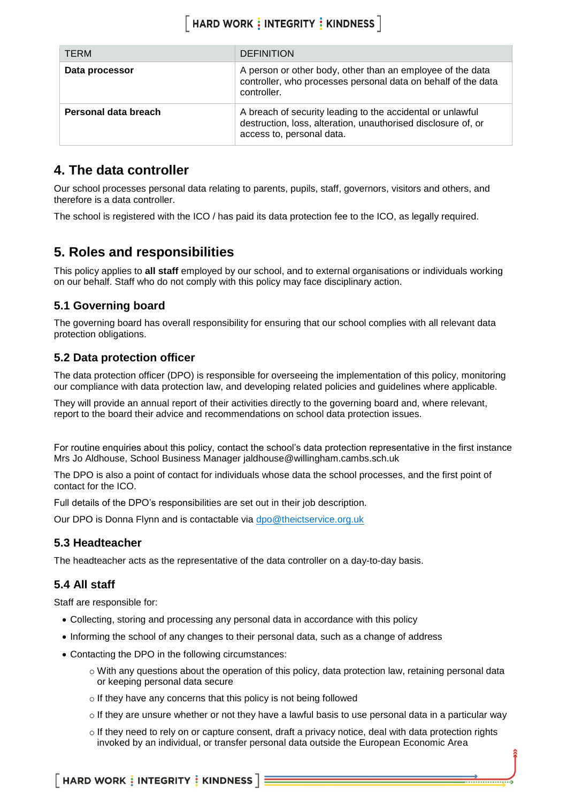| <b>TERM</b>          | <b>DEFINITION</b>                                                                                                                                        |
|----------------------|----------------------------------------------------------------------------------------------------------------------------------------------------------|
| Data processor       | A person or other body, other than an employee of the data<br>controller, who processes personal data on behalf of the data<br>controller.               |
| Personal data breach | A breach of security leading to the accidental or unlawful<br>destruction, loss, alteration, unauthorised disclosure of, or<br>access to, personal data. |

### <span id="page-3-0"></span>**4. The data controller**

Our school processes personal data relating to parents, pupils, staff, governors, visitors and others, and therefore is a data controller.

The school is registered with the ICO / has paid its data protection fee to the ICO, as legally required.

### <span id="page-3-1"></span>**5. Roles and responsibilities**

This policy applies to **all staff** employed by our school, and to external organisations or individuals working on our behalf. Staff who do not comply with this policy may face disciplinary action.

#### **5.1 Governing board**

The governing board has overall responsibility for ensuring that our school complies with all relevant data protection obligations.

#### **5.2 Data protection officer**

The data protection officer (DPO) is responsible for overseeing the implementation of this policy, monitoring our compliance with data protection law, and developing related policies and guidelines where applicable.

They will provide an annual report of their activities directly to the governing board and, where relevant, report to the board their advice and recommendations on school data protection issues.

For routine enquiries about this policy, contact the school's data protection representative in the first instance Mrs Jo Aldhouse, School Business Manager jaldhouse@willingham.cambs.sch.uk

The DPO is also a point of contact for individuals whose data the school processes, and the first point of contact for the ICO.

Full details of the DPO's responsibilities are set out in their job description.

Our DPO is Donna Flynn and is contactable via [dpo@theictservice.org.uk](mailto:dpo@theictservice.org.uk)

#### **5.3 Headteacher**

The headteacher acts as the representative of the data controller on a day-to-day basis.

#### **5.4 All staff**

Staff are responsible for:

- Collecting, storing and processing any personal data in accordance with this policy
- Informing the school of any changes to their personal data, such as a change of address
- Contacting the DPO in the following circumstances:
	- o With any questions about the operation of this policy, data protection law, retaining personal data or keeping personal data secure
	- o If they have any concerns that this policy is not being followed
	- $\circ$  If they are unsure whether or not they have a lawful basis to use personal data in a particular way
	- o If they need to rely on or capture consent, draft a privacy notice, deal with data protection rights invoked by an individual, or transfer personal data outside the European Economic Area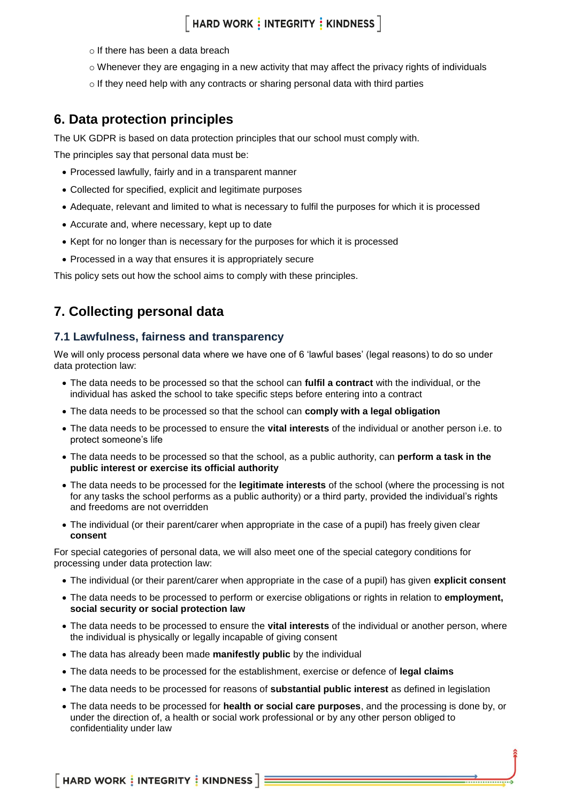### $\lceil$  HARD WORK  $\vdots$  INTEGRITY  $\vdots$  KINDNESS  $\rceil$

- o If there has been a data breach
- $\circ$  Whenever they are engaging in a new activity that may affect the privacy rights of individuals
- o If they need help with any contracts or sharing personal data with third parties

### <span id="page-4-0"></span>**6. Data protection principles**

The UK GDPR is based on data protection principles that our school must comply with.

The principles say that personal data must be:

- Processed lawfully, fairly and in a transparent manner
- Collected for specified, explicit and legitimate purposes
- Adequate, relevant and limited to what is necessary to fulfil the purposes for which it is processed
- Accurate and, where necessary, kept up to date
- Kept for no longer than is necessary for the purposes for which it is processed
- Processed in a way that ensures it is appropriately secure

This policy sets out how the school aims to comply with these principles.

### <span id="page-4-1"></span>**7. Collecting personal data**

#### **7.1 Lawfulness, fairness and transparency**

We will only process personal data where we have one of 6 'lawful bases' (legal reasons) to do so under data protection law:

- The data needs to be processed so that the school can **fulfil a contract** with the individual, or the individual has asked the school to take specific steps before entering into a contract
- The data needs to be processed so that the school can **comply with a legal obligation**
- The data needs to be processed to ensure the **vital interests** of the individual or another person i.e. to protect someone's life
- The data needs to be processed so that the school, as a public authority, can **perform a task in the public interest or exercise its official authority**
- The data needs to be processed for the **legitimate interests** of the school (where the processing is not for any tasks the school performs as a public authority) or a third party, provided the individual's rights and freedoms are not overridden
- The individual (or their parent/carer when appropriate in the case of a pupil) has freely given clear **consent**

For special categories of personal data, we will also meet one of the special category conditions for processing under data protection law:

- The individual (or their parent/carer when appropriate in the case of a pupil) has given **explicit consent**
- The data needs to be processed to perform or exercise obligations or rights in relation to **employment, social security or social protection law**
- The data needs to be processed to ensure the **vital interests** of the individual or another person, where the individual is physically or legally incapable of giving consent
- The data has already been made **manifestly public** by the individual
- The data needs to be processed for the establishment, exercise or defence of **legal claims**
- The data needs to be processed for reasons of **substantial public interest** as defined in legislation
- The data needs to be processed for **health or social care purposes**, and the processing is done by, or under the direction of, a health or social work professional or by any other person obliged to confidentiality under law

 $\lceil$  HARD WORK  $\frac{1}{2}$  INTEGRITY  $\frac{1}{2}$  KINDNESS  $\lceil \frac{1}{2} \rceil$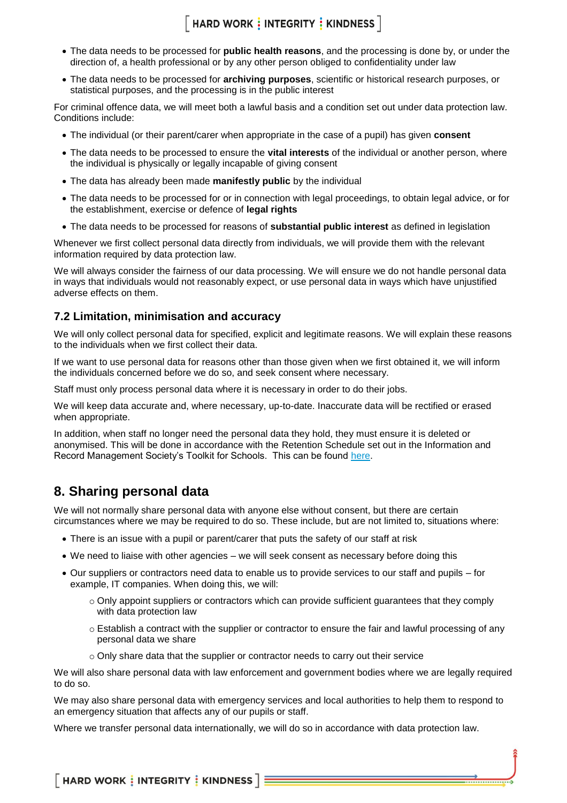# $[$  HARD WORK  $\frac{1}{3}$  INTEGRITY  $\frac{1}{3}$  KINDNESS  $]$

- The data needs to be processed for **public health reasons**, and the processing is done by, or under the direction of, a health professional or by any other person obliged to confidentiality under law
- The data needs to be processed for **archiving purposes**, scientific or historical research purposes, or statistical purposes, and the processing is in the public interest

For criminal offence data, we will meet both a lawful basis and a condition set out under data protection law. Conditions include:

- The individual (or their parent/carer when appropriate in the case of a pupil) has given **consent**
- The data needs to be processed to ensure the **vital interests** of the individual or another person, where the individual is physically or legally incapable of giving consent
- The data has already been made **manifestly public** by the individual
- The data needs to be processed for or in connection with legal proceedings, to obtain legal advice, or for the establishment, exercise or defence of **legal rights**
- The data needs to be processed for reasons of **substantial public interest** as defined in legislation

Whenever we first collect personal data directly from individuals, we will provide them with the relevant information required by data protection law.

We will always consider the fairness of our data processing. We will ensure we do not handle personal data in ways that individuals would not reasonably expect, or use personal data in ways which have unjustified adverse effects on them.

#### **7.2 Limitation, minimisation and accuracy**

We will only collect personal data for specified, explicit and legitimate reasons. We will explain these reasons to the individuals when we first collect their data.

If we want to use personal data for reasons other than those given when we first obtained it, we will inform the individuals concerned before we do so, and seek consent where necessary.

Staff must only process personal data where it is necessary in order to do their jobs.

We will keep data accurate and, where necessary, up-to-date. Inaccurate data will be rectified or erased when appropriate.

In addition, when staff no longer need the personal data they hold, they must ensure it is deleted or anonymised. This will be done in accordance with the Retention Schedule set out in the Information and Record Management Society's Toolkit for Schools. This can be found [here.](http://irms.org.uk/?page=schoolstoolkit&terms=%22toolkit+and+schools%22)

### <span id="page-5-0"></span>**8. Sharing personal data**

We will not normally share personal data with anyone else without consent, but there are certain circumstances where we may be required to do so. These include, but are not limited to, situations where:

- There is an issue with a pupil or parent/carer that puts the safety of our staff at risk
- We need to liaise with other agencies we will seek consent as necessary before doing this
- Our suppliers or contractors need data to enable us to provide services to our staff and pupils for example, IT companies. When doing this, we will:
	- $\circ$  Only appoint suppliers or contractors which can provide sufficient guarantees that they comply with data protection law
	- $\circ$  Establish a contract with the supplier or contractor to ensure the fair and lawful processing of any personal data we share
	- $\circ$  Only share data that the supplier or contractor needs to carry out their service

We will also share personal data with law enforcement and government bodies where we are legally required to do so.

We may also share personal data with emergency services and local authorities to help them to respond to an emergency situation that affects any of our pupils or staff.

Where we transfer personal data internationally, we will do so in accordance with data protection law.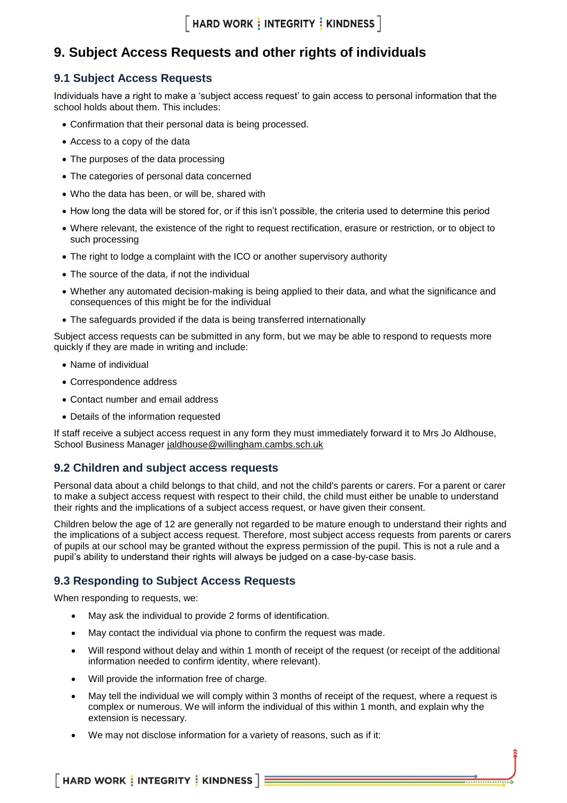$\lceil$  HARD WORK  $\vdots$  INTEGRITY  $\vdots$  KINDNESS  $\rceil$ 

### <span id="page-6-0"></span>**9. Subject Access Requests and other rights of individuals**

#### **9.1 Subject Access Requests**

Individuals have a right to make a 'subject access request' to gain access to personal information that the school holds about them. This includes:

- Confirmation that their personal data is being processed.
- Access to a copy of the data
- The purposes of the data processing
- The categories of personal data concerned
- Who the data has been, or will be, shared with
- How long the data will be stored for, or if this isn't possible, the criteria used to determine this period
- Where relevant, the existence of the right to request rectification, erasure or restriction, or to object to such processing
- The right to lodge a complaint with the ICO or another supervisory authority
- The source of the data, if not the individual
- Whether any automated decision-making is being applied to their data, and what the significance and consequences of this might be for the individual
- The safeguards provided if the data is being transferred internationally

Subject access requests can be submitted in any form, but we may be able to respond to requests more quickly if they are made in writing and include:

- Name of individual
- Correspondence address
- Contact number and email address
- Details of the information requested

If staff receive a subject access request in any form they must immediately forward it to Mrs Jo Aldhouse, School Business Manager [jaldhouse@willingham.cambs.sch.uk](mailto:jaldhouse@willingham.cambs.sch.uk)

#### **9.2 Children and subject access requests**

Personal data about a child belongs to that child, and not the child's parents or carers. For a parent or carer to make a subject access request with respect to their child, the child must either be unable to understand their rights and the implications of a subject access request, or have given their consent.

Children below the age of 12 are generally not regarded to be mature enough to understand their rights and the implications of a subject access request. Therefore, most subject access requests from parents or carers of pupils at our school may be granted without the express permission of the pupil. This is not a rule and a pupil's ability to understand their rights will always be judged on a case-by-case basis.

#### **9.3 Responding to Subject Access Requests**

When responding to requests, we:

- May ask the individual to provide 2 forms of identification.
- May contact the individual via phone to confirm the request was made.
- Will respond without delay and within 1 month of receipt of the request (or receipt of the additional information needed to confirm identity, where relevant).
- Will provide the information free of charge.
- May tell the individual we will comply within 3 months of receipt of the request, where a request is complex or numerous. We will inform the individual of this within 1 month, and explain why the extension is necessary.
- We may not disclose information for a variety of reasons, such as if it: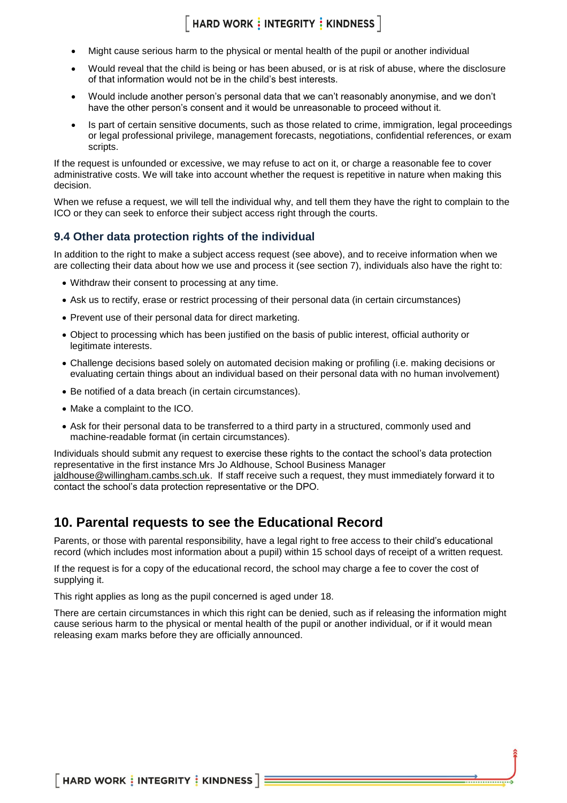### $\lceil$  HARD WORK  $\frac{1}{2}$  INTEGRITY  $\frac{1}{2}$  KINDNESS  $\rceil$

- Might cause serious harm to the physical or mental health of the pupil or another individual
- Would reveal that the child is being or has been abused, or is at risk of abuse, where the disclosure of that information would not be in the child's best interests.
- Would include another person's personal data that we can't reasonably anonymise, and we don't have the other person's consent and it would be unreasonable to proceed without it.
- Is part of certain sensitive documents, such as those related to crime, immigration, legal proceedings or legal professional privilege, management forecasts, negotiations, confidential references, or exam scripts.

If the request is unfounded or excessive, we may refuse to act on it, or charge a reasonable fee to cover administrative costs. We will take into account whether the request is repetitive in nature when making this decision.

When we refuse a request, we will tell the individual why, and tell them they have the right to complain to the ICO or they can seek to enforce their subject access right through the courts.

#### **9.4 Other data protection rights of the individual**

In addition to the right to make a subject access request (see above), and to receive information when we are collecting their data about how we use and process it (see section 7), individuals also have the right to:

- Withdraw their consent to processing at any time.
- Ask us to rectify, erase or restrict processing of their personal data (in certain circumstances)
- Prevent use of their personal data for direct marketing.
- Object to processing which has been justified on the basis of public interest, official authority or legitimate interests.
- Challenge decisions based solely on automated decision making or profiling (i.e. making decisions or evaluating certain things about an individual based on their personal data with no human involvement)
- Be notified of a data breach (in certain circumstances).
- Make a complaint to the ICO.
- Ask for their personal data to be transferred to a third party in a structured, commonly used and machine-readable format (in certain circumstances).

Individuals should submit any request to exercise these rights to the contact the school's data protection representative in the first instance Mrs Jo Aldhouse, School Business Manager [jaldhouse@willingham.cambs.sch.uk.](mailto:jaldhouse@willingham.cambs.sch.uk) If staff receive such a request, they must immediately forward it to contact the school's data protection representative or the DPO.

### <span id="page-7-0"></span>**10. Parental requests to see the Educational Record**

Parents, or those with parental responsibility, have a legal right to free access to their child's educational record (which includes most information about a pupil) within 15 school days of receipt of a written request.

If the request is for a copy of the educational record, the school may charge a fee to cover the cost of supplying it.

This right applies as long as the pupil concerned is aged under 18.

There are certain circumstances in which this right can be denied, such as if releasing the information might cause serious harm to the physical or mental health of the pupil or another individual, or if it would mean releasing exam marks before they are officially announced.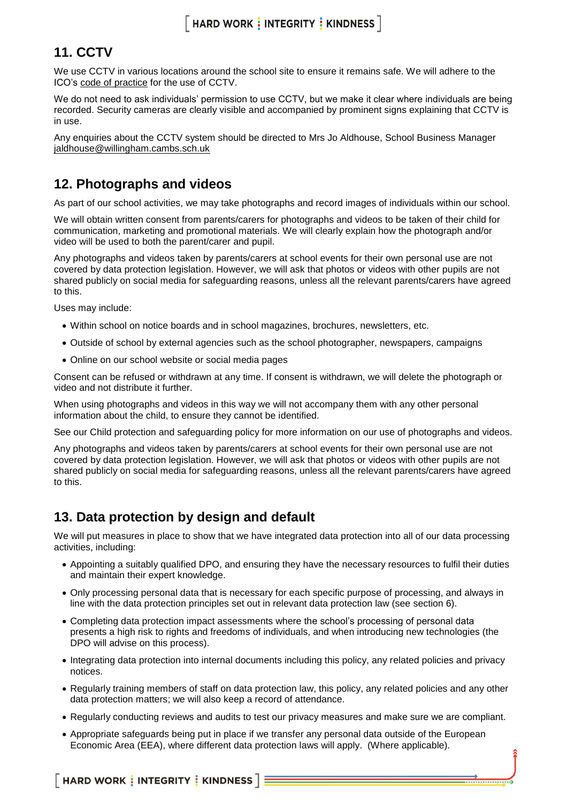### <span id="page-8-0"></span>**11. CCTV**

We use CCTV in various locations around the school site to ensure it remains safe. We will adhere to the ICO's [code of practice](https://ico.org.uk/media/for-organisations/documents/1542/cctv-code-of-practice.pdf) for the use of CCTV.

We do not need to ask individuals' permission to use CCTV, but we make it clear where individuals are being recorded. Security cameras are clearly visible and accompanied by prominent signs explaining that CCTV is in use.

Any enquiries about the CCTV system should be directed to Mrs Jo Aldhouse, School Business Manager [jaldhouse@willingham.cambs.sch.uk](mailto:jaldhouse@willingham.cambs.sch.uk)

### <span id="page-8-1"></span>**12. Photographs and videos**

As part of our school activities, we may take photographs and record images of individuals within our school.

We will obtain written consent from parents/carers for photographs and videos to be taken of their child for communication, marketing and promotional materials. We will clearly explain how the photograph and/or video will be used to both the parent/carer and pupil.

Any photographs and videos taken by parents/carers at school events for their own personal use are not covered by data protection legislation. However, we will ask that photos or videos with other pupils are not shared publicly on social media for safeguarding reasons, unless all the relevant parents/carers have agreed to this.

Uses may include:

- Within school on notice boards and in school magazines, brochures, newsletters, etc.
- Outside of school by external agencies such as the school photographer, newspapers, campaigns
- Online on our school website or social media pages

Consent can be refused or withdrawn at any time. If consent is withdrawn, we will delete the photograph or video and not distribute it further.

When using photographs and videos in this way we will not accompany them with any other personal information about the child, to ensure they cannot be identified.

See our Child protection and safeguarding policy for more information on our use of photographs and videos.

Any photographs and videos taken by parents/carers at school events for their own personal use are not covered by data protection legislation. However, we will ask that photos or videos with other pupils are not shared publicly on social media for safeguarding reasons, unless all the relevant parents/carers have agreed to this.

### <span id="page-8-2"></span>**13. Data protection by design and default**

We will put measures in place to show that we have integrated data protection into all of our data processing activities, including:

- Appointing a suitably qualified DPO, and ensuring they have the necessary resources to fulfil their duties and maintain their expert knowledge.
- Only processing personal data that is necessary for each specific purpose of processing, and always in line with the data protection principles set out in relevant data protection law (see section 6).
- Completing data protection impact assessments where the school's processing of personal data presents a high risk to rights and freedoms of individuals, and when introducing new technologies (the DPO will advise on this process).
- Integrating data protection into internal documents including this policy, any related policies and privacy notices.
- Regularly training members of staff on data protection law, this policy, any related policies and any other data protection matters; we will also keep a record of attendance.
- Regularly conducting reviews and audits to test our privacy measures and make sure we are compliant.
- Appropriate safeguards being put in place if we transfer any personal data outside of the European Economic Area (EEA), where different data protection laws will apply. (Where applicable).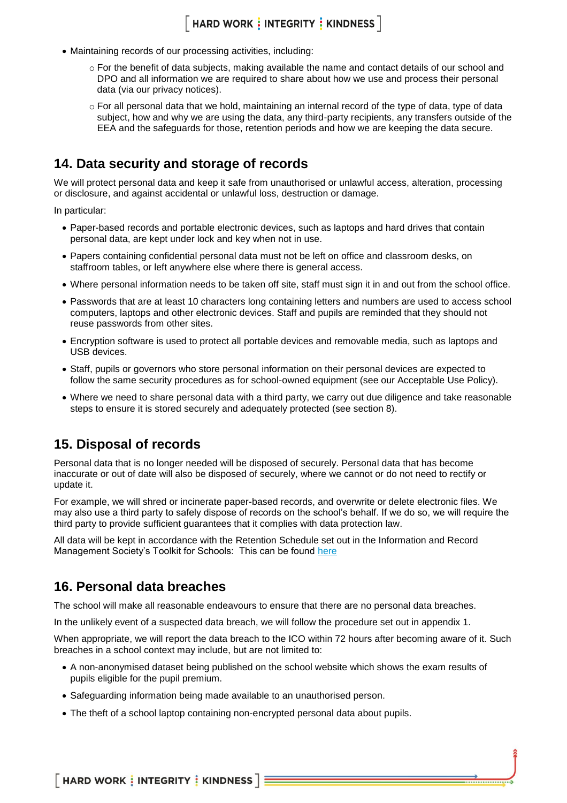# $[$  HARD WORK  $\frac{1}{2}$  INTEGRITY  $\frac{1}{2}$  KINDNESS  $]$

- Maintaining records of our processing activities, including:
	- o For the benefit of data subjects, making available the name and contact details of our school and DPO and all information we are required to share about how we use and process their personal data (via our privacy notices).
	- o For all personal data that we hold, maintaining an internal record of the type of data, type of data subject, how and why we are using the data, any third-party recipients, any transfers outside of the EEA and the safeguards for those, retention periods and how we are keeping the data secure.

#### <span id="page-9-0"></span>**14. Data security and storage of records**

We will protect personal data and keep it safe from unauthorised or unlawful access, alteration, processing or disclosure, and against accidental or unlawful loss, destruction or damage.

In particular:

- Paper-based records and portable electronic devices, such as laptops and hard drives that contain personal data, are kept under lock and key when not in use.
- Papers containing confidential personal data must not be left on office and classroom desks, on staffroom tables, or left anywhere else where there is general access.
- Where personal information needs to be taken off site, staff must sign it in and out from the school office.
- Passwords that are at least 10 characters long containing letters and numbers are used to access school computers, laptops and other electronic devices. Staff and pupils are reminded that they should not reuse passwords from other sites.
- Encryption software is used to protect all portable devices and removable media, such as laptops and USB devices.
- Staff, pupils or governors who store personal information on their personal devices are expected to follow the same security procedures as for school-owned equipment (see our Acceptable Use Policy).
- Where we need to share personal data with a third party, we carry out due diligence and take reasonable steps to ensure it is stored securely and adequately protected (see section 8).

#### <span id="page-9-1"></span>**15. Disposal of records**

Personal data that is no longer needed will be disposed of securely. Personal data that has become inaccurate or out of date will also be disposed of securely, where we cannot or do not need to rectify or update it.

For example, we will shred or incinerate paper-based records, and overwrite or delete electronic files. We may also use a third party to safely dispose of records on the school's behalf. If we do so, we will require the third party to provide sufficient guarantees that it complies with data protection law.

All data will be kept in accordance with the Retention Schedule set out in the Information and Record Management Society's Toolkit for Schools: This can be found [here](http://irms.org.uk/?page=schoolstoolkit&terms=%22toolkit+and+schools%22)

#### <span id="page-9-2"></span>**16. Personal data breaches**

The school will make all reasonable endeavours to ensure that there are no personal data breaches.

In the unlikely event of a suspected data breach, we will follow the procedure set out in appendix 1.

When appropriate, we will report the data breach to the ICO within 72 hours after becoming aware of it. Such breaches in a school context may include, but are not limited to:

- A non-anonymised dataset being published on the school website which shows the exam results of pupils eligible for the pupil premium.
- Safeguarding information being made available to an unauthorised person.
- The theft of a school laptop containing non-encrypted personal data about pupils.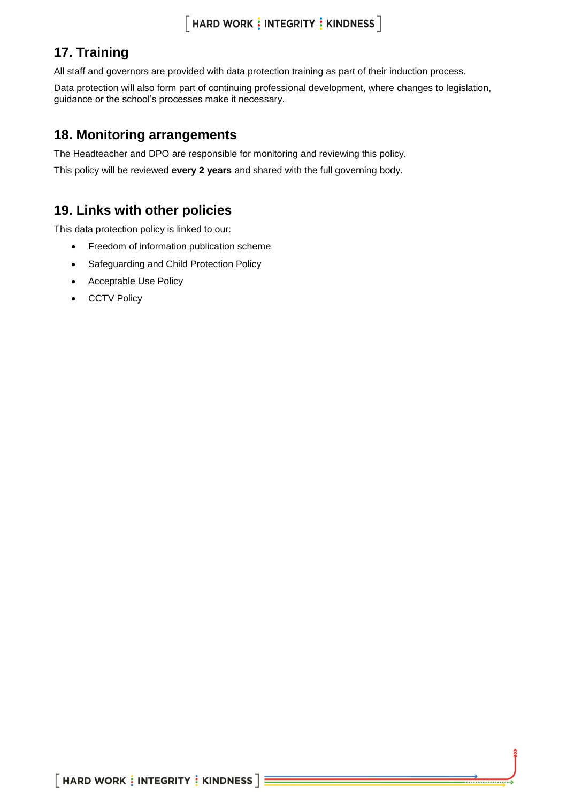# <span id="page-10-0"></span>**17. Training**

All staff and governors are provided with data protection training as part of their induction process.

Data protection will also form part of continuing professional development, where changes to legislation, guidance or the school's processes make it necessary.

### <span id="page-10-1"></span>**18. Monitoring arrangements**

The Headteacher and DPO are responsible for monitoring and reviewing this policy.

<span id="page-10-2"></span>This policy will be reviewed **every 2 years** and shared with the full governing body.

### **19. Links with other policies**

This data protection policy is linked to our:

- Freedom of information publication scheme
- Safeguarding and Child Protection Policy
- Acceptable Use Policy
- <span id="page-10-3"></span>• CCTV Policy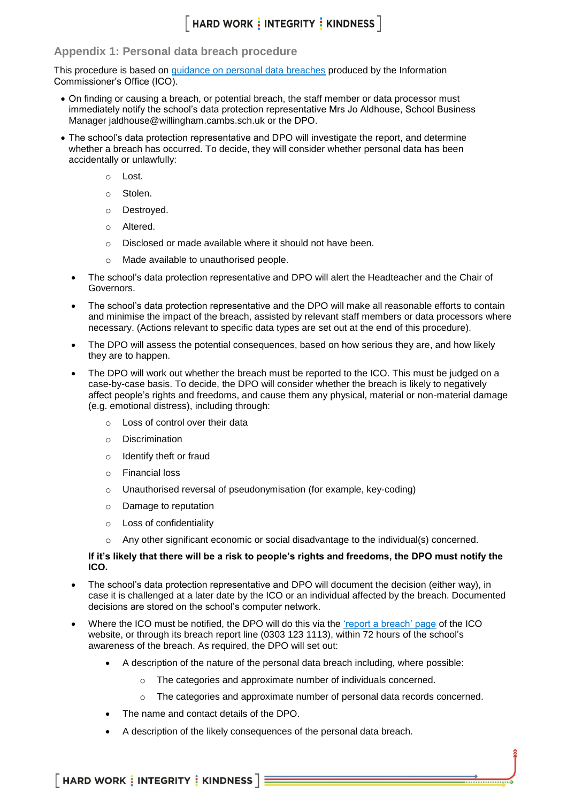### $\lceil$  HARD WORK  $\vdots$  INTEGRITY  $\vdots$  KINDNESS  $\rceil$

#### **Appendix 1: Personal data breach procedure**

This procedure is based on [guidance on personal data breaches](https://ico.org.uk/for-organisations/guide-to-the-general-data-protection-regulation-gdpr/personal-data-breaches/) produced by the Information Commissioner's Office (ICO).

- On finding or causing a breach, or potential breach, the staff member or data processor must immediately notify the school's data protection representative Mrs Jo Aldhouse, School Business Manager jaldhouse@willingham.cambs.sch.uk or the DPO.
- The school's data protection representative and DPO will investigate the report, and determine whether a breach has occurred. To decide, they will consider whether personal data has been accidentally or unlawfully:
	- o Lost.
	- o Stolen.
	- o Destroyed.
	- o Altered.
	- o Disclosed or made available where it should not have been.
	- o Made available to unauthorised people.
	- The school's data protection representative and DPO will alert the Headteacher and the Chair of Governors.
	- The school's data protection representative and the DPO will make all reasonable efforts to contain and minimise the impact of the breach, assisted by relevant staff members or data processors where necessary. (Actions relevant to specific data types are set out at the end of this procedure).
	- The DPO will assess the potential consequences, based on how serious they are, and how likely they are to happen.
	- The DPO will work out whether the breach must be reported to the ICO. This must be judged on a case-by-case basis. To decide, the DPO will consider whether the breach is likely to negatively affect people's rights and freedoms, and cause them any physical, material or non-material damage (e.g. emotional distress), including through:
		- o Loss of control over their data
		- o Discrimination
		- o Identify theft or fraud
		- o Financial loss
		- o Unauthorised reversal of pseudonymisation (for example, key-coding)
		- o Damage to reputation
		- o Loss of confidentiality
		- Any other significant economic or social disadvantage to the individual(s) concerned.

#### **If it's likely that there will be a risk to people's rights and freedoms, the DPO must notify the ICO.**

- The school's data protection representative and DPO will document the decision (either way), in case it is challenged at a later date by the ICO or an individual affected by the breach. Documented decisions are stored on the school's computer network.
- Where the ICO must be notified, the DPO will do this via the ['report a breach' page](https://ico.org.uk/for-organisations/report-a-breach/) of the ICO website, or through its breach report line (0303 123 1113), within 72 hours of the school's awareness of the breach. As required, the DPO will set out:
	- A description of the nature of the personal data breach including, where possible:
		- o The categories and approximate number of individuals concerned.
		- $\circ$  The categories and approximate number of personal data records concerned.
	- The name and contact details of the DPO.
	- A description of the likely consequences of the personal data breach.

 $\lceil$  HARD WORK  $\frac{1}{2}$  INTEGRITY  $\frac{1}{2}$  KINDNESS  $\lceil \frac{1}{2} \rceil$